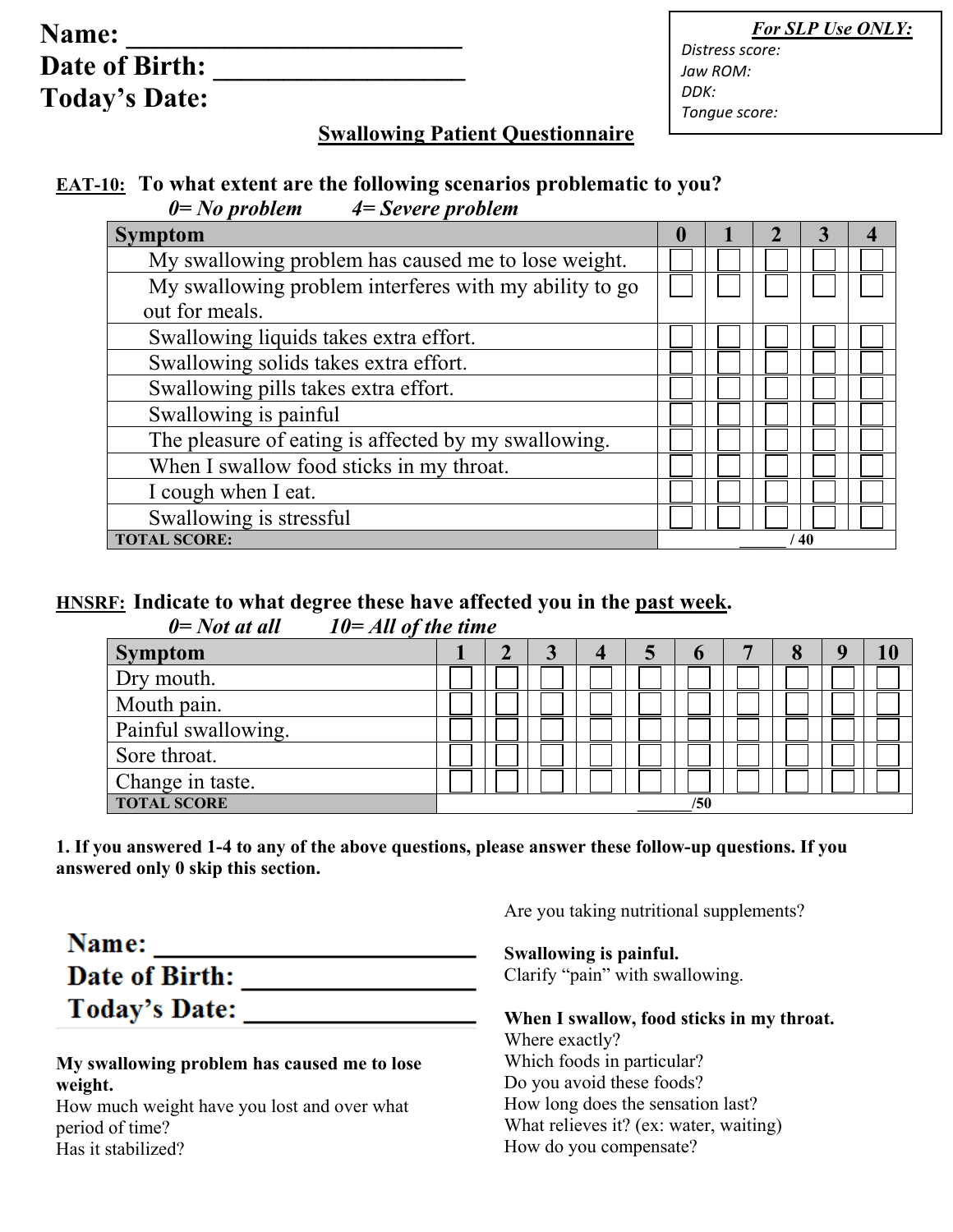| Name:                 |  |
|-----------------------|--|
| <b>Date of Birth:</b> |  |
| <b>Today's Date:</b>  |  |

 *For SLP Use ONLY:*

*Distress score: Jaw ROM: DDK: Tongue score:*

## **Swallowing Patient Questionnaire**

## **EAT-10: To what extent are the following scenarios problematic to you?** *0= No problem 4= Severe problem*

| <b>Symptom</b>                                         | $\mathbf{0}$ |  |  |  |
|--------------------------------------------------------|--------------|--|--|--|
| My swallowing problem has caused me to lose weight.    |              |  |  |  |
| My swallowing problem interferes with my ability to go |              |  |  |  |
| out for meals.                                         |              |  |  |  |
| Swallowing liquids takes extra effort.                 |              |  |  |  |
| Swallowing solids takes extra effort.                  |              |  |  |  |
| Swallowing pills takes extra effort.                   |              |  |  |  |
| Swallowing is painful                                  |              |  |  |  |
| The pleasure of eating is affected by my swallowing.   |              |  |  |  |
| When I swallow food sticks in my throat.               |              |  |  |  |
| I cough when I eat.                                    |              |  |  |  |
| Swallowing is stressful                                |              |  |  |  |
| <b>TOTAL SCORE:</b>                                    | 40           |  |  |  |

# **HNSRF: Indicate to what degree these have affected you in the past week.**

*0= Not at all 10= All of the time*

| $\sim$ $\sim$ $\sim$ $\sim$ $\sim$ $\sim$ $\sim$<br>$\sim$ $\sim$ $\sim$ $\sim$ $\sim$ $\sim$ $\sim$ $\sim$ |  |   |     |          |  |
|-------------------------------------------------------------------------------------------------------------|--|---|-----|----------|--|
| <b>Symptom</b>                                                                                              |  | 4 |     | $\Omega$ |  |
| Dry mouth.                                                                                                  |  |   |     |          |  |
| Mouth pain.                                                                                                 |  |   |     |          |  |
| Painful swallowing.                                                                                         |  |   |     |          |  |
| Sore throat.                                                                                                |  |   |     |          |  |
| Change in taste.                                                                                            |  |   |     |          |  |
| <b>TOTAL SCORE</b>                                                                                          |  |   | /50 |          |  |

**1. If you answered 1-4 to any of the above questions, please answer these follow-up questions. If you answered only 0 skip this section.** 

| Name:                |  |
|----------------------|--|
| Date of Birth:       |  |
| <b>Today's Date:</b> |  |

#### **My swallowing problem has caused me to lose weight.**

How much weight have you lost and over what period of time? Has it stabilized?

Are you taking nutritional supplements?

### **Swallowing is painful.**

Clarify "pain" with swallowing.

**When I swallow, food sticks in my throat.**  Where exactly? Which foods in particular? Do you avoid these foods? How long does the sensation last? What relieves it? (ex: water, waiting) How do you compensate?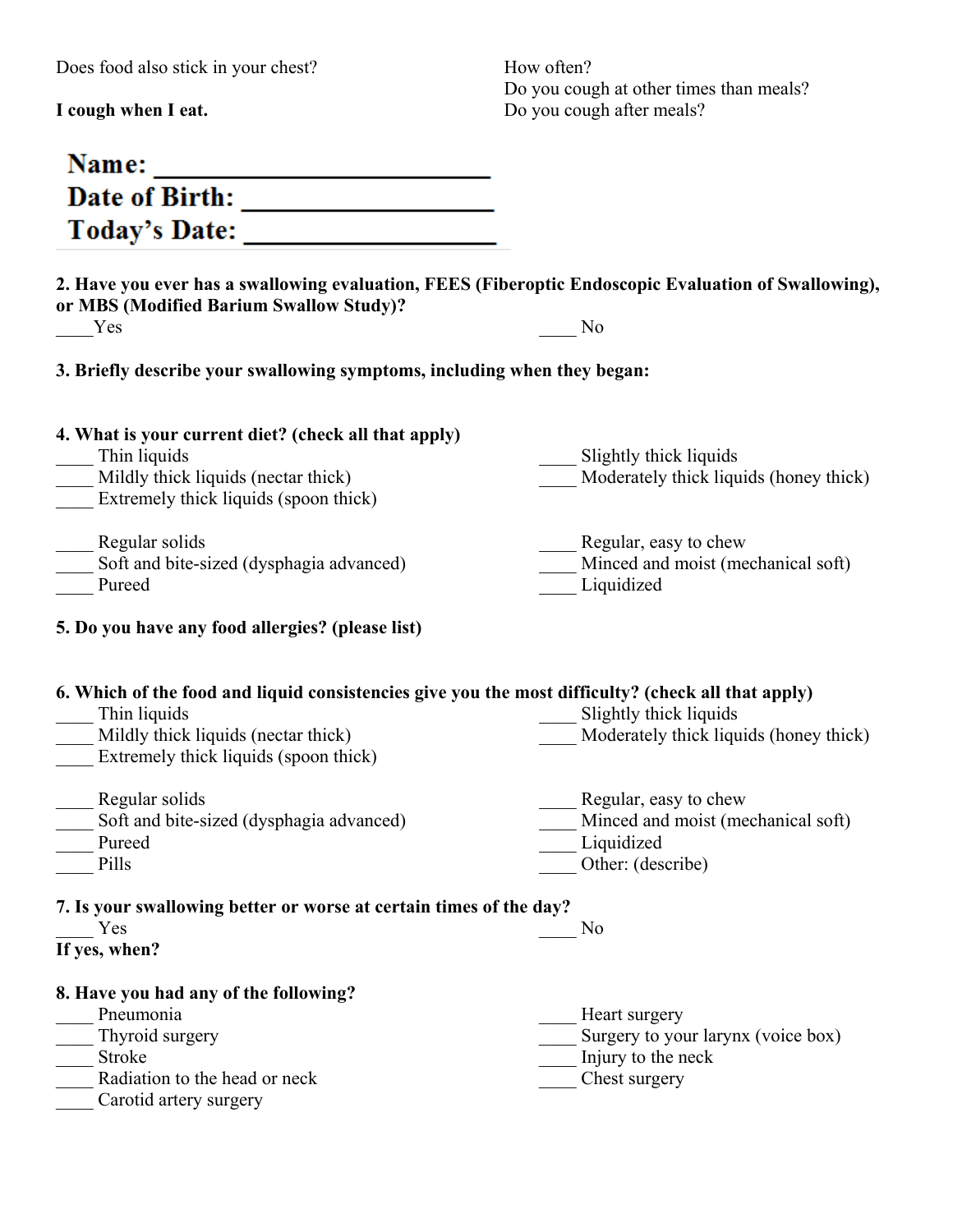Does food also stick in your chest?

**I cough when I eat.** 

How often? Do you cough at other times than meals? Do you cough after meals?

| Name:<br><u> 1989 - Johann Stoff, deutscher Stoffen und der Stoffen und der Stoffen und der Stoffen und der Stoffen und der</u>                                                                    |                                                                                                |
|----------------------------------------------------------------------------------------------------------------------------------------------------------------------------------------------------|------------------------------------------------------------------------------------------------|
|                                                                                                                                                                                                    |                                                                                                |
| Today's Date:                                                                                                                                                                                      |                                                                                                |
| 2. Have you ever has a swallowing evaluation, FEES (Fiberoptic Endoscopic Evaluation of Swallowing),<br>or MBS (Modified Barium Swallow Study)?<br>Yes                                             | No                                                                                             |
| 3. Briefly describe your swallowing symptoms, including when they began:                                                                                                                           |                                                                                                |
| 4. What is your current diet? (check all that apply)<br>Thin liquids<br>Mildly thick liquids (nectar thick)<br>Extremely thick liquids (spoon thick)                                               | Slightly thick liquids<br>Moderately thick liquids (honey thick)                               |
| Regular solids<br>Soft and bite-sized (dysphagia advanced)<br>Pureed                                                                                                                               | Regular, easy to chew<br>Minced and moist (mechanical soft)<br>Liquidized                      |
| 5. Do you have any food allergies? (please list)                                                                                                                                                   |                                                                                                |
| 6. Which of the food and liquid consistencies give you the most difficulty? (check all that apply)<br>Thin liquids<br>Mildly thick liquids (nectar thick)<br>Extremely thick liquids (spoon thick) | Slightly thick liquids<br>Moderately thick liquids (honey thick)                               |
| Regular solids<br>Soft and bite-sized (dysphagia advanced)<br>Pureed<br>Pills                                                                                                                      | Regular, easy to chew<br>Minced and moist (mechanical soft)<br>Liquidized<br>Other: (describe) |
| 7. Is your swallowing better or worse at certain times of the day?<br>Yes<br>If yes, when?                                                                                                         | No                                                                                             |
| 8. Have you had any of the following?<br>Pneumonia<br>Thyroid surgery<br>Stroke<br>Radiation to the head or neck<br>Carotid artery surgery                                                         | Heart surgery<br>Surgery to your larynx (voice box)<br>Injury to the neck<br>Chest surgery     |